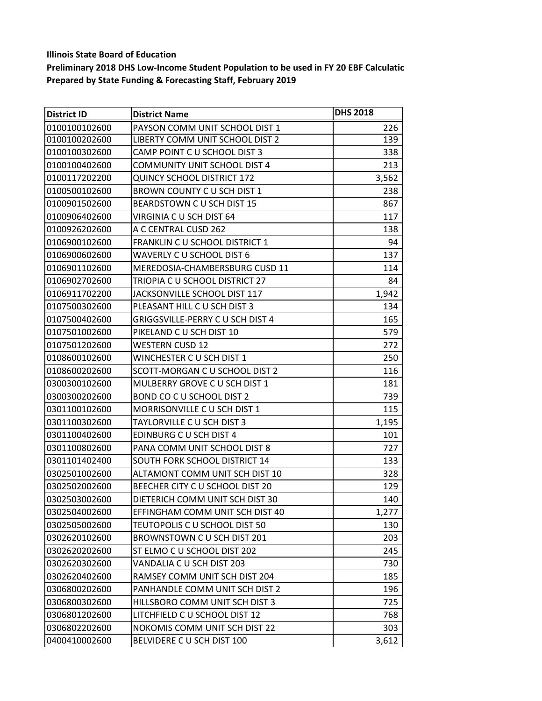| <b>District ID</b> | <b>District Name</b>                 | <b>DHS 2018</b> |
|--------------------|--------------------------------------|-----------------|
| 0100100102600      | PAYSON COMM UNIT SCHOOL DIST 1       | 226             |
| 0100100202600      | LIBERTY COMM UNIT SCHOOL DIST 2      | 139             |
| 0100100302600      | CAMP POINT C U SCHOOL DIST 3         | 338             |
| 0100100402600      | <b>COMMUNITY UNIT SCHOOL DIST 4</b>  | 213             |
| 0100117202200      | <b>QUINCY SCHOOL DISTRICT 172</b>    | 3,562           |
| 0100500102600      | BROWN COUNTY C U SCH DIST 1          | 238             |
| 0100901502600      | BEARDSTOWN C U SCH DIST 15           | 867             |
| 0100906402600      | VIRGINIA C U SCH DIST 64             | 117             |
| 0100926202600      | A C CENTRAL CUSD 262                 | 138             |
| 0106900102600      | FRANKLIN C U SCHOOL DISTRICT 1       | 94              |
| 0106900602600      | <b>WAVERLY C U SCHOOL DIST 6</b>     | 137             |
| 0106901102600      | MEREDOSIA-CHAMBERSBURG CUSD 11       | 114             |
| 0106902702600      | TRIOPIA C U SCHOOL DISTRICT 27       | 84              |
| 0106911702200      | JACKSONVILLE SCHOOL DIST 117         | 1,942           |
| 0107500302600      | PLEASANT HILL C U SCH DIST 3         | 134             |
| 0107500402600      | GRIGGSVILLE-PERRY C U SCH DIST 4     | 165             |
| 0107501002600      | PIKELAND C U SCH DIST 10             | 579             |
| 0107501202600      | <b>WESTERN CUSD 12</b>               | 272             |
| 0108600102600      | WINCHESTER C U SCH DIST 1            | 250             |
| 0108600202600      | SCOTT-MORGAN C U SCHOOL DIST 2       | 116             |
| 0300300102600      | MULBERRY GROVE C U SCH DIST 1        | 181             |
| 0300300202600      | BOND CO C U SCHOOL DIST 2            | 739             |
| 0301100102600      | MORRISONVILLE C U SCH DIST 1         | 115             |
| 0301100302600      | TAYLORVILLE C U SCH DIST 3           | 1,195           |
| 0301100402600      | EDINBURG C U SCH DIST 4              | 101             |
| 0301100802600      | PANA COMM UNIT SCHOOL DIST 8         | 727             |
| 0301101402400      | <b>SOUTH FORK SCHOOL DISTRICT 14</b> | 133             |
| 0302501002600      | ALTAMONT COMM UNIT SCH DIST 10       | 328             |
| 0302502002600      | BEECHER CITY C U SCHOOL DIST 20      | 129             |
| 0302503002600      | DIETERICH COMM UNIT SCH DIST 30      | 140             |
| 0302504002600      | EFFINGHAM COMM UNIT SCH DIST 40      | 1,277           |
| 0302505002600      | TEUTOPOLIS C U SCHOOL DIST 50        | 130             |
| 0302620102600      | BROWNSTOWN C U SCH DIST 201          | 203             |
| 0302620202600      | ST ELMO C U SCHOOL DIST 202          | 245             |
| 0302620302600      | VANDALIA C U SCH DIST 203            | 730             |
| 0302620402600      | RAMSEY COMM UNIT SCH DIST 204        | 185             |
| 0306800202600      | PANHANDLE COMM UNIT SCH DIST 2       | 196             |
| 0306800302600      | HILLSBORO COMM UNIT SCH DIST 3       | 725             |
| 0306801202600      | LITCHFIELD C U SCHOOL DIST 12        | 768             |
| 0306802202600      | NOKOMIS COMM UNIT SCH DIST 22        | 303             |
| 0400410002600      | BELVIDERE C U SCH DIST 100           | 3,612           |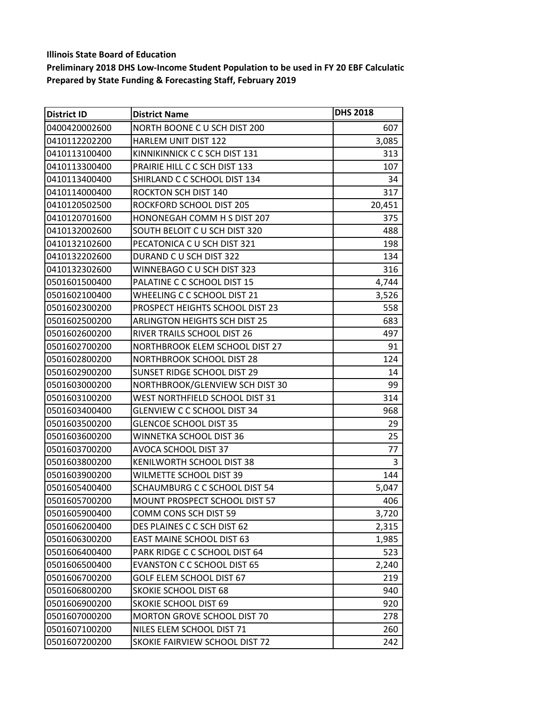| <b>District ID</b> | <b>District Name</b>                 | <b>DHS 2018</b> |
|--------------------|--------------------------------------|-----------------|
| 0400420002600      | NORTH BOONE C U SCH DIST 200         | 607             |
| 0410112202200      | <b>HARLEM UNIT DIST 122</b>          | 3,085           |
| 0410113100400      | KINNIKINNICK C C SCH DIST 131        | 313             |
| 0410113300400      | PRAIRIE HILL C C SCH DIST 133        | 107             |
| 0410113400400      | SHIRLAND C C SCHOOL DIST 134         | 34              |
| 0410114000400      | ROCKTON SCH DIST 140                 | 317             |
| 0410120502500      | ROCKFORD SCHOOL DIST 205             | 20,451          |
| 0410120701600      | HONONEGAH COMM H S DIST 207          | 375             |
| 0410132002600      | SOUTH BELOIT C U SCH DIST 320        | 488             |
| 0410132102600      | PECATONICA C U SCH DIST 321          | 198             |
| 0410132202600      | DURAND C U SCH DIST 322              | 134             |
| 0410132302600      | WINNEBAGO C U SCH DIST 323           | 316             |
| 0501601500400      | PALATINE C C SCHOOL DIST 15          | 4,744           |
| 0501602100400      | WHEELING C C SCHOOL DIST 21          | 3,526           |
| 0501602300200      | PROSPECT HEIGHTS SCHOOL DIST 23      | 558             |
| 0501602500200      | <b>ARLINGTON HEIGHTS SCH DIST 25</b> | 683             |
| 0501602600200      | RIVER TRAILS SCHOOL DIST 26          | 497             |
| 0501602700200      | NORTHBROOK ELEM SCHOOL DIST 27       | 91              |
| 0501602800200      | <b>NORTHBROOK SCHOOL DIST 28</b>     | 124             |
| 0501602900200      | SUNSET RIDGE SCHOOL DIST 29          | 14              |
| 0501603000200      | NORTHBROOK/GLENVIEW SCH DIST 30      | 99              |
| 0501603100200      | WEST NORTHFIELD SCHOOL DIST 31       | 314             |
| 0501603400400      | <b>GLENVIEW C C SCHOOL DIST 34</b>   | 968             |
| 0501603500200      | <b>GLENCOE SCHOOL DIST 35</b>        | 29              |
| 0501603600200      | WINNETKA SCHOOL DIST 36              | 25              |
| 0501603700200      | AVOCA SCHOOL DIST 37                 | 77              |
| 0501603800200      | KENILWORTH SCHOOL DIST 38            | 3               |
| 0501603900200      | <b>WILMETTE SCHOOL DIST 39</b>       | 144             |
| 0501605400400      | SCHAUMBURG C C SCHOOL DIST 54        | 5,047           |
| 0501605700200      | MOUNT PROSPECT SCHOOL DIST 57        | 406             |
| 0501605900400      | COMM CONS SCH DIST 59                | 3,720           |
| 0501606200400      | DES PLAINES C C SCH DIST 62          | 2,315           |
| 0501606300200      | <b>EAST MAINE SCHOOL DIST 63</b>     | 1,985           |
| 0501606400400      | PARK RIDGE C C SCHOOL DIST 64        | 523             |
| 0501606500400      | <b>EVANSTON C C SCHOOL DIST 65</b>   | 2,240           |
| 0501606700200      | <b>GOLF ELEM SCHOOL DIST 67</b>      | 219             |
| 0501606800200      | <b>SKOKIE SCHOOL DIST 68</b>         | 940             |
| 0501606900200      | <b>SKOKIE SCHOOL DIST 69</b>         | 920             |
| 0501607000200      | MORTON GROVE SCHOOL DIST 70          | 278             |
| 0501607100200      | NILES ELEM SCHOOL DIST 71            | 260             |
| 0501607200200      | SKOKIE FAIRVIEW SCHOOL DIST 72       | 242             |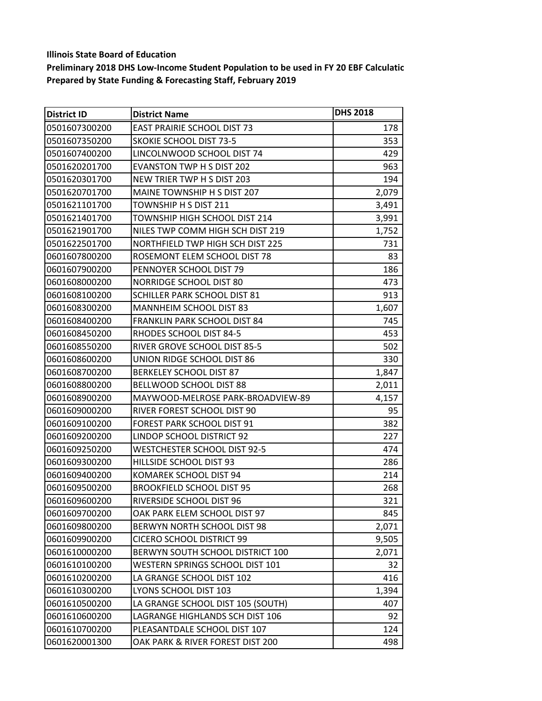| <b>District ID</b> | <b>District Name</b>               | <b>DHS 2018</b> |
|--------------------|------------------------------------|-----------------|
| 0501607300200      | <b>EAST PRAIRIE SCHOOL DIST 73</b> | 178             |
| 0501607350200      | <b>SKOKIE SCHOOL DIST 73-5</b>     | 353             |
| 0501607400200      | LINCOLNWOOD SCHOOL DIST 74         | 429             |
| 0501620201700      | EVANSTON TWP H S DIST 202          | 963             |
| 0501620301700      | NEW TRIER TWP H S DIST 203         | 194             |
| 0501620701700      | MAINE TOWNSHIP H S DIST 207        | 2,079           |
| 0501621101700      | TOWNSHIP H S DIST 211              | 3,491           |
| 0501621401700      | TOWNSHIP HIGH SCHOOL DIST 214      | 3,991           |
| 0501621901700      | NILES TWP COMM HIGH SCH DIST 219   | 1,752           |
| 0501622501700      | NORTHFIELD TWP HIGH SCH DIST 225   | 731             |
| 0601607800200      | ROSEMONT ELEM SCHOOL DIST 78       | 83              |
| 0601607900200      | PENNOYER SCHOOL DIST 79            | 186             |
| 0601608000200      | <b>NORRIDGE SCHOOL DIST 80</b>     | 473             |
| 0601608100200      | SCHILLER PARK SCHOOL DIST 81       | 913             |
| 0601608300200      | <b>MANNHEIM SCHOOL DIST 83</b>     | 1,607           |
| 0601608400200      | FRANKLIN PARK SCHOOL DIST 84       | 745             |
| 0601608450200      | RHODES SCHOOL DIST 84-5            | 453             |
| 0601608550200      | RIVER GROVE SCHOOL DIST 85-5       | 502             |
| 0601608600200      | UNION RIDGE SCHOOL DIST 86         | 330             |
| 0601608700200      | <b>BERKELEY SCHOOL DIST 87</b>     | 1,847           |
| 0601608800200      | BELLWOOD SCHOOL DIST 88            | 2,011           |
| 0601608900200      | MAYWOOD-MELROSE PARK-BROADVIEW-89  | 4,157           |
| 0601609000200      | RIVER FOREST SCHOOL DIST 90        | 95              |
| 0601609100200      | FOREST PARK SCHOOL DIST 91         | 382             |
| 0601609200200      | LINDOP SCHOOL DISTRICT 92          | 227             |
| 0601609250200      | WESTCHESTER SCHOOL DIST 92-5       | 474             |
| 0601609300200      | HILLSIDE SCHOOL DIST 93            | 286             |
| 0601609400200      | KOMAREK SCHOOL DIST 94             | 214             |
| 0601609500200      | <b>BROOKFIELD SCHOOL DIST 95</b>   | 268             |
| 0601609600200      | RIVERSIDE SCHOOL DIST 96           | 321             |
| 0601609700200      | OAK PARK ELEM SCHOOL DIST 97       | 845             |
| 0601609800200      | BERWYN NORTH SCHOOL DIST 98        | 2,071           |
| 0601609900200      | CICERO SCHOOL DISTRICT 99          | 9,505           |
| 0601610000200      | BERWYN SOUTH SCHOOL DISTRICT 100   | 2,071           |
| 0601610100200      | WESTERN SPRINGS SCHOOL DIST 101    | 32              |
| 0601610200200      | LA GRANGE SCHOOL DIST 102          | 416             |
| 0601610300200      | LYONS SCHOOL DIST 103              | 1,394           |
| 0601610500200      | LA GRANGE SCHOOL DIST 105 (SOUTH)  | 407             |
| 0601610600200      | LAGRANGE HIGHLANDS SCH DIST 106    | 92              |
| 0601610700200      | PLEASANTDALE SCHOOL DIST 107       | 124             |
| 0601620001300      | OAK PARK & RIVER FOREST DIST 200   | 498             |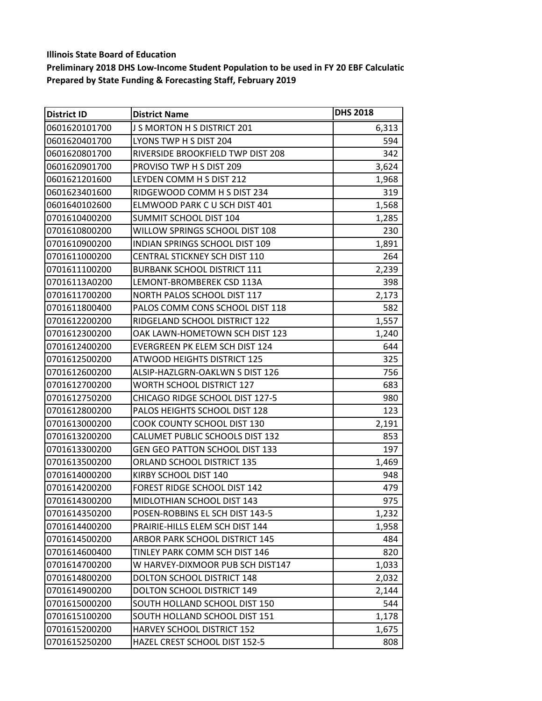| District ID   | <b>District Name</b>                  | <b>DHS 2018</b> |
|---------------|---------------------------------------|-----------------|
| 0601620101700 | J S MORTON H S DISTRICT 201           | 6,313           |
| 0601620401700 | LYONS TWP H S DIST 204                | 594             |
| 0601620801700 | RIVERSIDE BROOKFIELD TWP DIST 208     | 342             |
| 0601620901700 | PROVISO TWP H S DIST 209              | 3,624           |
| 0601621201600 | LEYDEN COMM H S DIST 212              | 1,968           |
| 0601623401600 | RIDGEWOOD COMM H S DIST 234           | 319             |
| 0601640102600 | ELMWOOD PARK CU SCH DIST 401          | 1,568           |
| 0701610400200 | SUMMIT SCHOOL DIST 104                | 1,285           |
| 0701610800200 | WILLOW SPRINGS SCHOOL DIST 108        | 230             |
| 0701610900200 | INDIAN SPRINGS SCHOOL DIST 109        | 1,891           |
| 0701611000200 | <b>CENTRAL STICKNEY SCH DIST 110</b>  | 264             |
| 0701611100200 | <b>BURBANK SCHOOL DISTRICT 111</b>    | 2,239           |
| 07016113A0200 | LEMONT-BROMBEREK CSD 113A             | 398             |
| 0701611700200 | NORTH PALOS SCHOOL DIST 117           | 2,173           |
| 0701611800400 | PALOS COMM CONS SCHOOL DIST 118       | 582             |
| 0701612200200 | RIDGELAND SCHOOL DISTRICT 122         | 1,557           |
| 0701612300200 | OAK LAWN-HOMETOWN SCH DIST 123        | 1,240           |
| 0701612400200 | EVERGREEN PK ELEM SCH DIST 124        | 644             |
| 0701612500200 | <b>ATWOOD HEIGHTS DISTRICT 125</b>    | 325             |
| 0701612600200 | ALSIP-HAZLGRN-OAKLWN S DIST 126       | 756             |
| 0701612700200 | <b>WORTH SCHOOL DISTRICT 127</b>      | 683             |
| 0701612750200 | CHICAGO RIDGE SCHOOL DIST 127-5       | 980             |
| 0701612800200 | PALOS HEIGHTS SCHOOL DIST 128         | 123             |
| 0701613000200 | COOK COUNTY SCHOOL DIST 130           | 2,191           |
| 0701613200200 | CALUMET PUBLIC SCHOOLS DIST 132       | 853             |
| 0701613300200 | <b>GEN GEO PATTON SCHOOL DIST 133</b> | 197             |
| 0701613500200 | ORLAND SCHOOL DISTRICT 135            | 1,469           |
| 0701614000200 | KIRBY SCHOOL DIST 140                 | 948             |
| 0701614200200 | FOREST RIDGE SCHOOL DIST 142          | 479             |
| 0701614300200 | MIDLOTHIAN SCHOOL DIST 143            | 975             |
| 0701614350200 | POSEN-ROBBINS EL SCH DIST 143-5       | 1,232           |
| 0701614400200 | PRAIRIE-HILLS ELEM SCH DIST 144       | 1,958           |
| 0701614500200 | ARBOR PARK SCHOOL DISTRICT 145        | 484             |
| 0701614600400 | TINLEY PARK COMM SCH DIST 146         | 820             |
| 0701614700200 | W HARVEY-DIXMOOR PUB SCH DIST147      | 1,033           |
| 0701614800200 | <b>DOLTON SCHOOL DISTRICT 148</b>     | 2,032           |
| 0701614900200 | DOLTON SCHOOL DISTRICT 149            | 2,144           |
| 0701615000200 | SOUTH HOLLAND SCHOOL DIST 150         | 544             |
| 0701615100200 | SOUTH HOLLAND SCHOOL DIST 151         | 1,178           |
| 0701615200200 | HARVEY SCHOOL DISTRICT 152            | 1,675           |
| 0701615250200 | HAZEL CREST SCHOOL DIST 152-5         | 808             |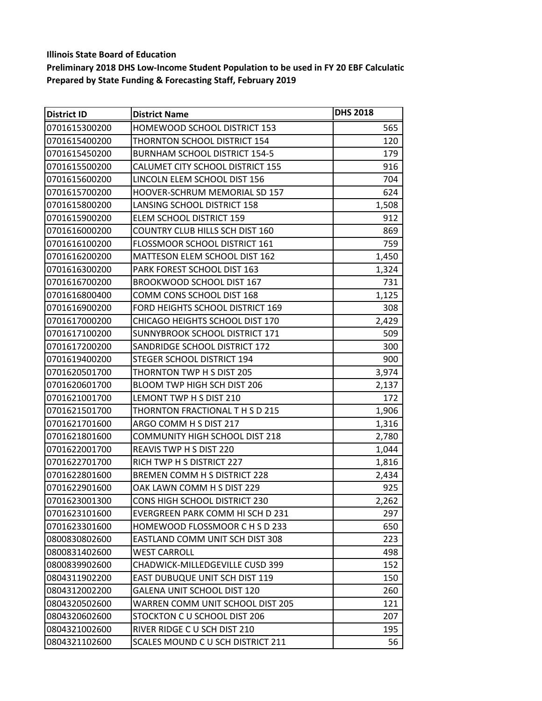| <b>District ID</b> | <b>District Name</b>                   | <b>DHS 2018</b> |
|--------------------|----------------------------------------|-----------------|
| 0701615300200      | HOMEWOOD SCHOOL DISTRICT 153           | 565             |
| 0701615400200      | THORNTON SCHOOL DISTRICT 154           | 120             |
| 0701615450200      | <b>BURNHAM SCHOOL DISTRICT 154-5</b>   | 179             |
| 0701615500200      | CALUMET CITY SCHOOL DISTRICT 155       | 916             |
| 0701615600200      | LINCOLN ELEM SCHOOL DIST 156           | 704             |
| 0701615700200      | HOOVER-SCHRUM MEMORIAL SD 157          | 624             |
| 0701615800200      | LANSING SCHOOL DISTRICT 158            | 1,508           |
| 0701615900200      | ELEM SCHOOL DISTRICT 159               | 912             |
| 0701616000200      | <b>COUNTRY CLUB HILLS SCH DIST 160</b> | 869             |
| 0701616100200      | FLOSSMOOR SCHOOL DISTRICT 161          | 759             |
| 0701616200200      | MATTESON ELEM SCHOOL DIST 162          | 1,450           |
| 0701616300200      | PARK FOREST SCHOOL DIST 163            | 1,324           |
| 0701616700200      | <b>BROOKWOOD SCHOOL DIST 167</b>       | 731             |
| 0701616800400      | COMM CONS SCHOOL DIST 168              | 1,125           |
| 0701616900200      | FORD HEIGHTS SCHOOL DISTRICT 169       | 308             |
| 0701617000200      | CHICAGO HEIGHTS SCHOOL DIST 170        | 2,429           |
| 0701617100200      | SUNNYBROOK SCHOOL DISTRICT 171         | 509             |
| 0701617200200      | SANDRIDGE SCHOOL DISTRICT 172          | 300             |
| 0701619400200      | STEGER SCHOOL DISTRICT 194             | 900             |
| 0701620501700      | THORNTON TWP H S DIST 205              | 3,974           |
| 0701620601700      | BLOOM TWP HIGH SCH DIST 206            | 2,137           |
| 0701621001700      | LEMONT TWP H S DIST 210                | 172             |
| 0701621501700      | THORNTON FRACTIONAL T H S D 215        | 1,906           |
| 0701621701600      | ARGO COMM H S DIST 217                 | 1,316           |
| 0701621801600      | <b>COMMUNITY HIGH SCHOOL DIST 218</b>  | 2,780           |
| 0701622001700      | REAVIS TWP H S DIST 220                | 1,044           |
| 0701622701700      | RICH TWP H S DISTRICT 227              | 1,816           |
| 0701622801600      | BREMEN COMM H S DISTRICT 228           | 2,434           |
| 0701622901600      | OAK LAWN COMM H S DIST 229             | 925             |
| 0701623001300      | CONS HIGH SCHOOL DISTRICT 230          | 2,262           |
| 0701623101600      | EVERGREEN PARK COMM HI SCH D 231       | 297             |
| 0701623301600      | HOMEWOOD FLOSSMOOR C H S D 233         | 650             |
| 0800830802600      | EASTLAND COMM UNIT SCH DIST 308        | 223             |
| 0800831402600      | <b>WEST CARROLL</b>                    | 498             |
| 0800839902600      | CHADWICK-MILLEDGEVILLE CUSD 399        | 152             |
| 0804311902200      | <b>EAST DUBUQUE UNIT SCH DIST 119</b>  | 150             |
| 0804312002200      | GALENA UNIT SCHOOL DIST 120            | 260             |
| 0804320502600      | WARREN COMM UNIT SCHOOL DIST 205       | 121             |
| 0804320602600      | STOCKTON C U SCHOOL DIST 206           | 207             |
| 0804321002600      | RIVER RIDGE C U SCH DIST 210           | 195             |
| 0804321102600      | SCALES MOUND C U SCH DISTRICT 211      | 56              |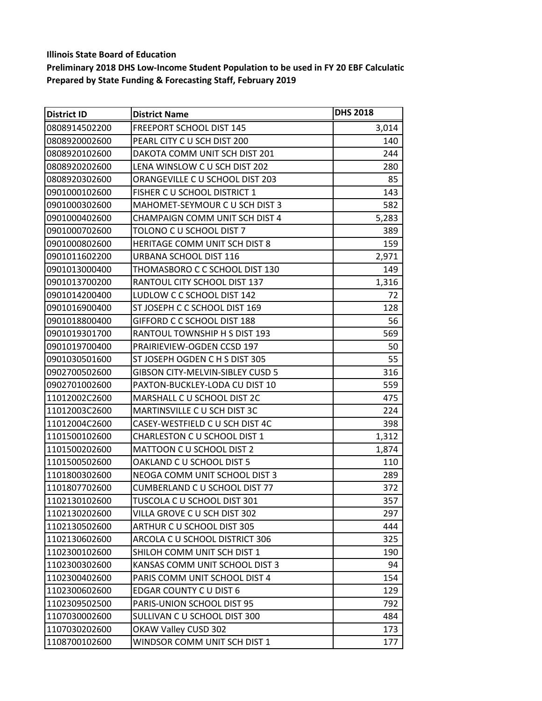| <b>District ID</b> | <b>District Name</b>                    | <b>DHS 2018</b> |
|--------------------|-----------------------------------------|-----------------|
| 0808914502200      | FREEPORT SCHOOL DIST 145                | 3,014           |
| 0808920002600      | PEARL CITY C U SCH DIST 200             | 140             |
| 0808920102600      | DAKOTA COMM UNIT SCH DIST 201           | 244             |
| 0808920202600      | LENA WINSLOW C U SCH DIST 202           | 280             |
| 0808920302600      | ORANGEVILLE C U SCHOOL DIST 203         | 85              |
| 0901000102600      | FISHER C U SCHOOL DISTRICT 1            | 143             |
| 0901000302600      | MAHOMET-SEYMOUR C U SCH DIST 3          | 582             |
| 0901000402600      | CHAMPAIGN COMM UNIT SCH DIST 4          | 5,283           |
| 0901000702600      | TOLONO C U SCHOOL DIST 7                | 389             |
| 0901000802600      | HERITAGE COMM UNIT SCH DIST 8           | 159             |
| 0901011602200      | URBANA SCHOOL DIST 116                  | 2,971           |
| 0901013000400      | THOMASBORO C C SCHOOL DIST 130          | 149             |
| 0901013700200      | RANTOUL CITY SCHOOL DIST 137            | 1,316           |
| 0901014200400      | LUDLOW C C SCHOOL DIST 142              | 72              |
| 0901016900400      | ST JOSEPH C C SCHOOL DIST 169           | 128             |
| 0901018800400      | GIFFORD C C SCHOOL DIST 188             | 56              |
| 0901019301700      | RANTOUL TOWNSHIP H S DIST 193           | 569             |
| 0901019700400      | PRAIRIEVIEW-OGDEN CCSD 197              | 50              |
| 0901030501600      | ST JOSEPH OGDEN C H S DIST 305          | 55              |
| 0902700502600      | <b>GIBSON CITY-MELVIN-SIBLEY CUSD 5</b> | 316             |
| 0902701002600      | PAXTON-BUCKLEY-LODA CU DIST 10          | 559             |
| 11012002C2600      | MARSHALL C U SCHOOL DIST 2C             | 475             |
| 11012003C2600      | MARTINSVILLE C U SCH DIST 3C            | 224             |
| 11012004C2600      | CASEY-WESTFIELD C U SCH DIST 4C         | 398             |
| 1101500102600      | CHARLESTON C U SCHOOL DIST 1            | 1,312           |
| 1101500202600      | MATTOON CU SCHOOL DIST 2                | 1,874           |
| 1101500502600      | OAKLAND C U SCHOOL DIST 5               | 110             |
| 1101800302600      | NEOGA COMM UNIT SCHOOL DIST 3           | 289             |
| 1101807702600      | <b>CUMBERLAND C U SCHOOL DIST 77</b>    | 372             |
| 1102130102600      | TUSCOLA C U SCHOOL DIST 301             | 357             |
| 1102130202600      | VILLA GROVE C U SCH DIST 302            | 297             |
| 1102130502600      | ARTHUR C U SCHOOL DIST 305              | 444             |
| 1102130602600      | ARCOLA C U SCHOOL DISTRICT 306          | 325             |
| 1102300102600      | SHILOH COMM UNIT SCH DIST 1             | 190             |
| 1102300302600      | KANSAS COMM UNIT SCHOOL DIST 3          | 94              |
| 1102300402600      | PARIS COMM UNIT SCHOOL DIST 4           | 154             |
| 1102300602600      | EDGAR COUNTY CU DIST 6                  | 129             |
| 1102309502500      | PARIS-UNION SCHOOL DIST 95              | 792             |
| 1107030002600      | SULLIVAN C U SCHOOL DIST 300            | 484             |
| 1107030202600      | OKAW Valley CUSD 302                    | 173             |
| 1108700102600      | WINDSOR COMM UNIT SCH DIST 1            | 177             |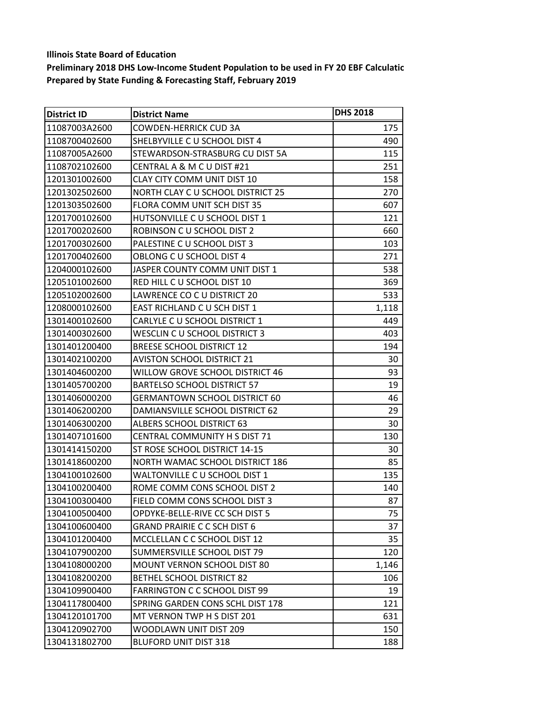| <b>District ID</b> | <b>District Name</b>                 | <b>DHS 2018</b> |
|--------------------|--------------------------------------|-----------------|
| 11087003A2600      | <b>COWDEN-HERRICK CUD 3A</b>         | 175             |
| 1108700402600      | SHELBYVILLE C U SCHOOL DIST 4        | 490             |
| 11087005A2600      | STEWARDSON-STRASBURG CU DIST 5A      | 115             |
| 1108702102600      | CENTRAL A & M C U DIST #21           | 251             |
| 1201301002600      | CLAY CITY COMM UNIT DIST 10          | 158             |
| 1201302502600      | NORTH CLAY C U SCHOOL DISTRICT 25    | 270             |
| 1201303502600      | FLORA COMM UNIT SCH DIST 35          | 607             |
| 1201700102600      | HUTSONVILLE C U SCHOOL DIST 1        | 121             |
| 1201700202600      | ROBINSON C U SCHOOL DIST 2           | 660             |
| 1201700302600      | PALESTINE C U SCHOOL DIST 3          | 103             |
| 1201700402600      | OBLONG C U SCHOOL DIST 4             | 271             |
| 1204000102600      | JASPER COUNTY COMM UNIT DIST 1       | 538             |
| 1205101002600      | RED HILL C U SCHOOL DIST 10          | 369             |
| 1205102002600      | LAWRENCE CO C U DISTRICT 20          | 533             |
| 1208000102600      | EAST RICHLAND C U SCH DIST 1         | 1,118           |
| 1301400102600      | CARLYLE C U SCHOOL DISTRICT 1        | 449             |
| 1301400302600      | WESCLIN C U SCHOOL DISTRICT 3        | 403             |
| 1301401200400      | <b>BREESE SCHOOL DISTRICT 12</b>     | 194             |
| 1301402100200      | <b>AVISTON SCHOOL DISTRICT 21</b>    | 30              |
| 1301404600200      | WILLOW GROVE SCHOOL DISTRICT 46      | 93              |
| 1301405700200      | <b>BARTELSO SCHOOL DISTRICT 57</b>   | 19              |
| 1301406000200      | <b>GERMANTOWN SCHOOL DISTRICT 60</b> | 46              |
| 1301406200200      | DAMIANSVILLE SCHOOL DISTRICT 62      | 29              |
| 1301406300200      | <b>ALBERS SCHOOL DISTRICT 63</b>     | 30              |
| 1301407101600      | <b>CENTRAL COMMUNITY H S DIST 71</b> | 130             |
| 1301414150200      | ST ROSE SCHOOL DISTRICT 14-15        | 30              |
| 1301418600200      | NORTH WAMAC SCHOOL DISTRICT 186      | 85              |
| 1304100102600      | WALTONVILLE C U SCHOOL DIST 1        | 135             |
| 1304100200400      | ROME COMM CONS SCHOOL DIST 2         | 140             |
| 1304100300400      | FIELD COMM CONS SCHOOL DIST 3        | 87              |
| 1304100500400      | OPDYKE-BELLE-RIVE CC SCH DIST 5      | 75              |
| 1304100600400      | <b>GRAND PRAIRIE C C SCH DIST 6</b>  | 37              |
| 1304101200400      | MCCLELLAN C C SCHOOL DIST 12         | 35              |
| 1304107900200      | SUMMERSVILLE SCHOOL DIST 79          | 120             |
| 1304108000200      | <b>MOUNT VERNON SCHOOL DIST 80</b>   | 1,146           |
| 1304108200200      | <b>BETHEL SCHOOL DISTRICT 82</b>     | 106             |
| 1304109900400      | <b>FARRINGTON C C SCHOOL DIST 99</b> | 19              |
| 1304117800400      | SPRING GARDEN CONS SCHL DIST 178     | 121             |
| 1304120101700      | MT VERNON TWP H S DIST 201           | 631             |
| 1304120902700      | WOODLAWN UNIT DIST 209               | 150             |
| 1304131802700      | <b>BLUFORD UNIT DIST 318</b>         | 188             |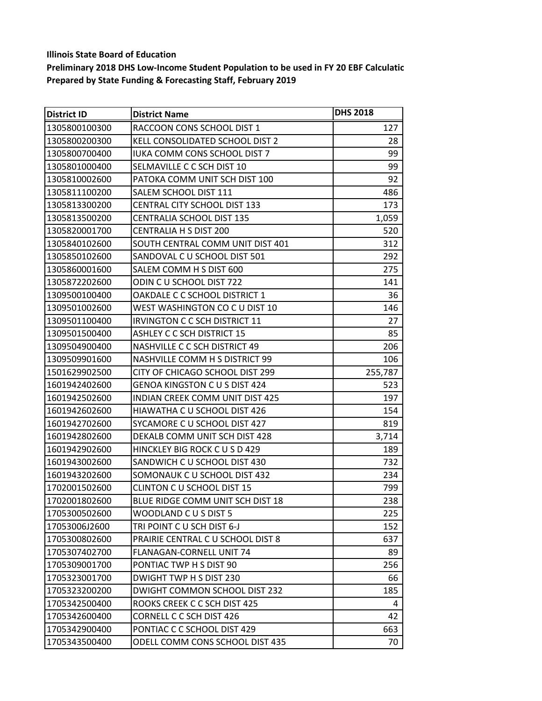| <b>District ID</b> | <b>District Name</b>                 | <b>DHS 2018</b> |
|--------------------|--------------------------------------|-----------------|
| 1305800100300      | RACCOON CONS SCHOOL DIST 1           | 127             |
| 1305800200300      | KELL CONSOLIDATED SCHOOL DIST 2      | 28              |
| 1305800700400      | IUKA COMM CONS SCHOOL DIST 7         | 99              |
| 1305801000400      | SELMAVILLE C C SCH DIST 10           | 99              |
| 1305810002600      | PATOKA COMM UNIT SCH DIST 100        | 92              |
| 1305811100200      | SALEM SCHOOL DIST 111                | 486             |
| 1305813300200      | <b>CENTRAL CITY SCHOOL DIST 133</b>  | 173             |
| 1305813500200      | <b>CENTRALIA SCHOOL DIST 135</b>     | 1,059           |
| 1305820001700      | <b>CENTRALIA H S DIST 200</b>        | 520             |
| 1305840102600      | SOUTH CENTRAL COMM UNIT DIST 401     | 312             |
| 1305850102600      | SANDOVAL C U SCHOOL DIST 501         | 292             |
| 1305860001600      | SALEM COMM H S DIST 600              | 275             |
| 1305872202600      | ODIN CU SCHOOL DIST 722              | 141             |
| 1309500100400      | OAKDALE C C SCHOOL DISTRICT 1        | 36              |
| 1309501002600      | WEST WASHINGTON CO C U DIST 10       | 146             |
| 1309501100400      | <b>IRVINGTON C C SCH DISTRICT 11</b> | 27              |
| 1309501500400      | <b>ASHLEY C C SCH DISTRICT 15</b>    | 85              |
| 1309504900400      | NASHVILLE C C SCH DISTRICT 49        | 206             |
| 1309509901600      | NASHVILLE COMM H S DISTRICT 99       | 106             |
| 1501629902500      | CITY OF CHICAGO SCHOOL DIST 299      | 255,787         |
| 1601942402600      | <b>GENOA KINGSTON C U S DIST 424</b> | 523             |
| 1601942502600      | INDIAN CREEK COMM UNIT DIST 425      | 197             |
| 1601942602600      | HIAWATHA C U SCHOOL DIST 426         | 154             |
| 1601942702600      | SYCAMORE C U SCHOOL DIST 427         | 819             |
| 1601942802600      | DEKALB COMM UNIT SCH DIST 428        | 3,714           |
| 1601942902600      | HINCKLEY BIG ROCK C U S D 429        | 189             |
| 1601943002600      | SANDWICH C U SCHOOL DIST 430         | 732             |
| 1601943202600      | SOMONAUK C U SCHOOL DIST 432         | 234             |
| 1702001502600      | <b>CLINTON C U SCHOOL DIST 15</b>    | 799             |
| 1702001802600      | BLUE RIDGE COMM UNIT SCH DIST 18     | 238             |
| 1705300502600      | WOODLAND CUS DIST 5                  | 225             |
| 17053006J2600      | TRI POINT CU SCH DIST 6-J            | 152             |
| 1705300802600      | PRAIRIE CENTRAL C U SCHOOL DIST 8    | 637             |
| 1705307402700      | FLANAGAN-CORNELL UNIT 74             | 89              |
| 1705309001700      | PONTIAC TWP H S DIST 90              | 256             |
| 1705323001700      | DWIGHT TWP H S DIST 230              | 66              |
| 1705323200200      | DWIGHT COMMON SCHOOL DIST 232        | 185             |
| 1705342500400      | ROOKS CREEK C C SCH DIST 425         | 4               |
| 1705342600400      | <b>CORNELL C C SCH DIST 426</b>      | 42              |
| 1705342900400      | PONTIAC C C SCHOOL DIST 429          | 663             |
| 1705343500400      | ODELL COMM CONS SCHOOL DIST 435      | 70              |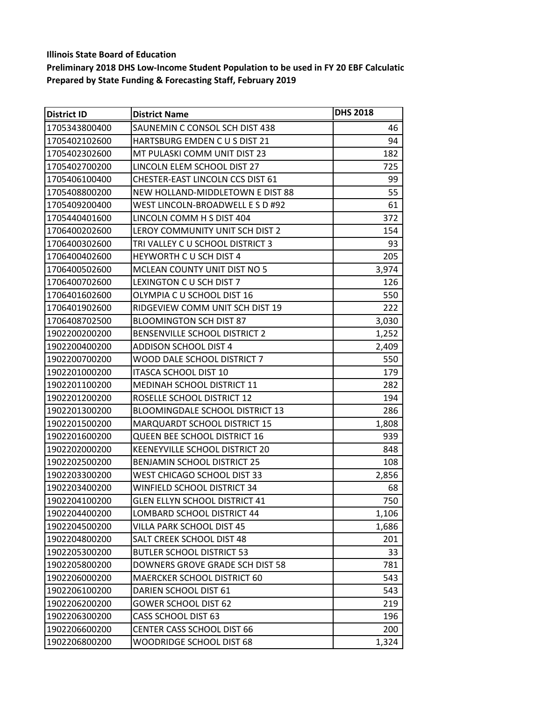| <b>District ID</b> | <b>District Name</b>                   | <b>DHS 2018</b> |
|--------------------|----------------------------------------|-----------------|
| 1705343800400      | SAUNEMIN C CONSOL SCH DIST 438         | 46              |
| 1705402102600      | HARTSBURG EMDEN CUS DIST 21            | 94              |
| 1705402302600      | MT PULASKI COMM UNIT DIST 23           | 182             |
| 1705402700200      | LINCOLN ELEM SCHOOL DIST 27            | 725             |
| 1705406100400      | CHESTER-EAST LINCOLN CCS DIST 61       | 99              |
| 1705408800200      | NEW HOLLAND-MIDDLETOWN E DIST 88       | 55              |
| 1705409200400      | WEST LINCOLN-BROADWELL E S D #92       | 61              |
| 1705440401600      | LINCOLN COMM H S DIST 404              | 372             |
| 1706400202600      | LEROY COMMUNITY UNIT SCH DIST 2        | 154             |
| 1706400302600      | TRI VALLEY C U SCHOOL DISTRICT 3       | 93              |
| 1706400402600      | HEYWORTH CU SCH DIST 4                 | 205             |
| 1706400502600      | MCLEAN COUNTY UNIT DIST NO 5           | 3,974           |
| 1706400702600      | LEXINGTON C U SCH DIST 7               | 126             |
| 1706401602600      | OLYMPIA C U SCHOOL DIST 16             | 550             |
| 1706401902600      | RIDGEVIEW COMM UNIT SCH DIST 19        | 222             |
| 1706408702500      | <b>BLOOMINGTON SCH DIST 87</b>         | 3,030           |
| 1902200200200      | BENSENVILLE SCHOOL DISTRICT 2          | 1,252           |
| 1902200400200      | <b>ADDISON SCHOOL DIST 4</b>           | 2,409           |
| 1902200700200      | WOOD DALE SCHOOL DISTRICT 7            | 550             |
| 1902201000200      | <b>ITASCA SCHOOL DIST 10</b>           | 179             |
| 1902201100200      | MEDINAH SCHOOL DISTRICT 11             | 282             |
| 1902201200200      | ROSELLE SCHOOL DISTRICT 12             | 194             |
| 1902201300200      | <b>BLOOMINGDALE SCHOOL DISTRICT 13</b> | 286             |
| 1902201500200      | MARQUARDT SCHOOL DISTRICT 15           | 1,808           |
| 1902201600200      | QUEEN BEE SCHOOL DISTRICT 16           | 939             |
| 1902202000200      | KEENEYVILLE SCHOOL DISTRICT 20         | 848             |
| 1902202500200      | <b>BENJAMIN SCHOOL DISTRICT 25</b>     | 108             |
| 1902203300200      | WEST CHICAGO SCHOOL DIST 33            | 2,856           |
| 1902203400200      | WINFIELD SCHOOL DISTRICT 34            | 68              |
| 1902204100200      | <b>GLEN ELLYN SCHOOL DISTRICT 41</b>   | 750             |
| 1902204400200      | LOMBARD SCHOOL DISTRICT 44             | 1,106           |
| 1902204500200      | VILLA PARK SCHOOL DIST 45              | 1,686           |
| 1902204800200      | SALT CREEK SCHOOL DIST 48              | 201             |
| 1902205300200      | <b>BUTLER SCHOOL DISTRICT 53</b>       | 33              |
| 1902205800200      | DOWNERS GROVE GRADE SCH DIST 58        | 781             |
| 1902206000200      | MAERCKER SCHOOL DISTRICT 60            | 543             |
| 1902206100200      | DARIEN SCHOOL DIST 61                  | 543             |
| 1902206200200      | <b>GOWER SCHOOL DIST 62</b>            | 219             |
| 1902206300200      | <b>CASS SCHOOL DIST 63</b>             | 196             |
| 1902206600200      | <b>CENTER CASS SCHOOL DIST 66</b>      | 200             |
| 1902206800200      | WOODRIDGE SCHOOL DIST 68               | 1,324           |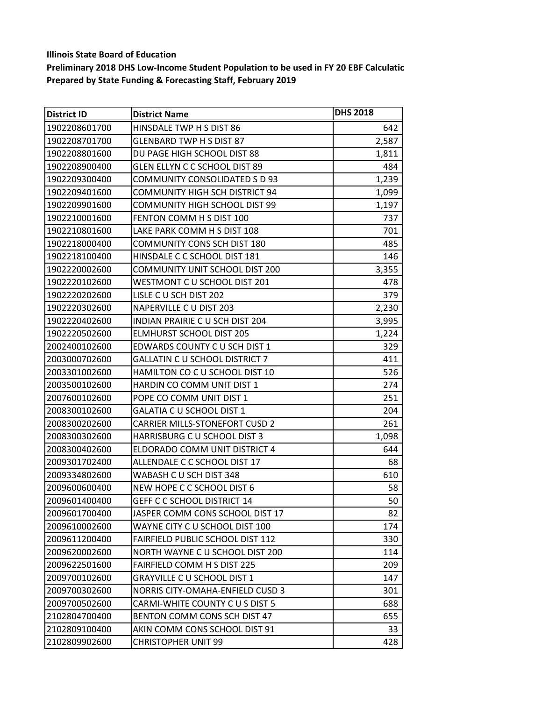| <b>District ID</b> | <b>District Name</b>                   | <b>DHS 2018</b> |
|--------------------|----------------------------------------|-----------------|
| 1902208601700      | HINSDALE TWP H S DIST 86               | 642             |
| 1902208701700      | <b>GLENBARD TWP H S DIST 87</b>        | 2,587           |
| 1902208801600      | DU PAGE HIGH SCHOOL DIST 88            | 1,811           |
| 1902208900400      | GLEN ELLYN C C SCHOOL DIST 89          | 484             |
| 1902209300400      | <b>COMMUNITY CONSOLIDATED S D 93</b>   | 1,239           |
| 1902209401600      | <b>COMMUNITY HIGH SCH DISTRICT 94</b>  | 1,099           |
| 1902209901600      | <b>COMMUNITY HIGH SCHOOL DIST 99</b>   | 1,197           |
| 1902210001600      | FENTON COMM H S DIST 100               | 737             |
| 1902210801600      | LAKE PARK COMM H S DIST 108            | 701             |
| 1902218000400      | <b>COMMUNITY CONS SCH DIST 180</b>     | 485             |
| 1902218100400      | HINSDALE C C SCHOOL DIST 181           | 146             |
| 1902220002600      | <b>COMMUNITY UNIT SCHOOL DIST 200</b>  | 3,355           |
| 1902220102600      | WESTMONT C U SCHOOL DIST 201           | 478             |
| 1902220202600      | LISLE C U SCH DIST 202                 | 379             |
| 1902220302600      | NAPERVILLE C U DIST 203                | 2,230           |
| 1902220402600      | <b>INDIAN PRAIRIE C U SCH DIST 204</b> | 3,995           |
| 1902220502600      | <b>ELMHURST SCHOOL DIST 205</b>        | 1,224           |
| 2002400102600      | EDWARDS COUNTY C U SCH DIST 1          | 329             |
| 2003000702600      | <b>GALLATIN C U SCHOOL DISTRICT 7</b>  | 411             |
| 2003301002600      | HAMILTON CO C U SCHOOL DIST 10         | 526             |
| 2003500102600      | HARDIN CO COMM UNIT DIST 1             | 274             |
| 2007600102600      | POPE CO COMM UNIT DIST 1               | 251             |
| 2008300102600      | GALATIA C U SCHOOL DIST 1              | 204             |
| 2008300202600      | <b>CARRIER MILLS-STONEFORT CUSD 2</b>  | 261             |
| 2008300302600      | HARRISBURG C U SCHOOL DIST 3           | 1,098           |
| 2008300402600      | ELDORADO COMM UNIT DISTRICT 4          | 644             |
| 2009301702400      | ALLENDALE C C SCHOOL DIST 17           | 68              |
| 2009334802600      | WABASH C U SCH DIST 348                | 610             |
| 2009600600400      | NEW HOPE C C SCHOOL DIST 6             | 58              |
| 2009601400400      | GEFF C C SCHOOL DISTRICT 14            | 50              |
| 2009601700400      | JASPER COMM CONS SCHOOL DIST 17        | 82              |
| 2009610002600      | WAYNE CITY C U SCHOOL DIST 100         | 174             |
| 2009611200400      | FAIRFIELD PUBLIC SCHOOL DIST 112       | 330             |
| 2009620002600      | NORTH WAYNE C U SCHOOL DIST 200        | 114             |
| 2009622501600      | <b>FAIRFIELD COMM H S DIST 225</b>     | 209             |
| 2009700102600      | <b>GRAYVILLE C U SCHOOL DIST 1</b>     | 147             |
| 2009700302600      | NORRIS CITY-OMAHA-ENFIELD CUSD 3       | 301             |
| 2009700502600      | CARMI-WHITE COUNTY C U S DIST 5        | 688             |
| 2102804700400      | BENTON COMM CONS SCH DIST 47           | 655             |
| 2102809100400      | AKIN COMM CONS SCHOOL DIST 91          | 33              |
| 2102809902600      | <b>CHRISTOPHER UNIT 99</b>             | 428             |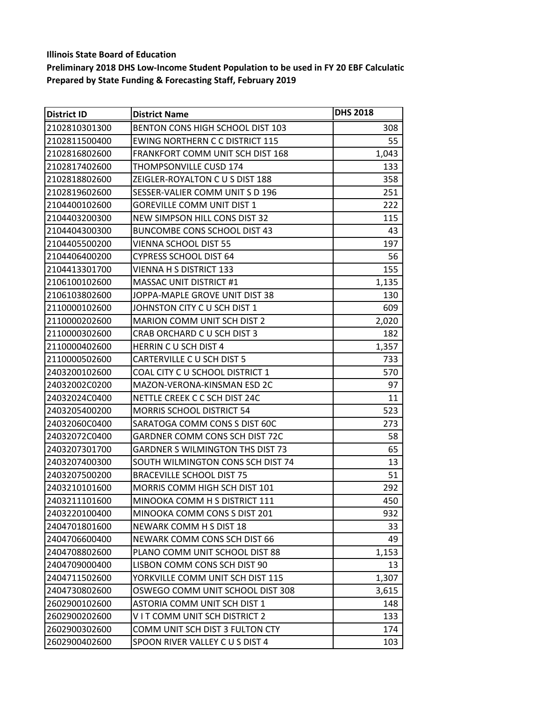| <b>District ID</b> | <b>District Name</b>                    | <b>DHS 2018</b> |
|--------------------|-----------------------------------------|-----------------|
| 2102810301300      | BENTON CONS HIGH SCHOOL DIST 103        | 308             |
| 2102811500400      | <b>EWING NORTHERN C C DISTRICT 115</b>  | 55              |
| 2102816802600      | FRANKFORT COMM UNIT SCH DIST 168        | 1,043           |
| 12102817402600     | <b>THOMPSONVILLE CUSD 174</b>           | 133             |
| 2102818802600      | ZEIGLER-ROYALTON C U S DIST 188         | 358             |
| 2102819602600      | SESSER-VALIER COMM UNIT S D 196         | 251             |
| 2104400102600      | <b>GOREVILLE COMM UNIT DIST 1</b>       | 222             |
| 2104403200300      | NEW SIMPSON HILL CONS DIST 32           | 115             |
| 2104404300300      | <b>BUNCOMBE CONS SCHOOL DIST 43</b>     | 43              |
| 2104405500200      | <b>VIENNA SCHOOL DIST 55</b>            | 197             |
| 2104406400200      | <b>CYPRESS SCHOOL DIST 64</b>           | 56              |
| 2104413301700      | <b>VIENNA H S DISTRICT 133</b>          | 155             |
| 2106100102600      | <b>MASSAC UNIT DISTRICT #1</b>          | 1,135           |
| 2106103802600      | JOPPA-MAPLE GROVE UNIT DIST 38          | 130             |
| 2110000102600      | JOHNSTON CITY C U SCH DIST 1            | 609             |
| 2110000202600      | <b>MARION COMM UNIT SCH DIST 2</b>      | 2,020           |
| 2110000302600      | CRAB ORCHARD C U SCH DIST 3             | 182             |
| 2110000402600      | <b>HERRIN C U SCH DIST 4</b>            | 1,357           |
| 2110000502600      | CARTERVILLE C U SCH DIST 5              | 733             |
| 2403200102600      | COAL CITY C U SCHOOL DISTRICT 1         | 570             |
| 24032002C0200      | MAZON-VERONA-KINSMAN ESD 2C             | 97              |
| 24032024C0400      | NETTLE CREEK C C SCH DIST 24C           | 11              |
| 2403205400200      | <b>MORRIS SCHOOL DISTRICT 54</b>        | 523             |
| 24032060C0400      | SARATOGA COMM CONS S DIST 60C           | 273             |
| 24032072C0400      | GARDNER COMM CONS SCH DIST 72C          | 58              |
| 2403207301700      | <b>GARDNER S WILMINGTON THS DIST 73</b> | 65              |
| 2403207400300      | SOUTH WILMINGTON CONS SCH DIST 74       | 13              |
| 2403207500200      | <b>BRACEVILLE SCHOOL DIST 75</b>        | 51              |
| 2403210101600      | MORRIS COMM HIGH SCH DIST 101           | 292             |
| 2403211101600      | MINOOKA COMM H S DISTRICT 111           | 450             |
| 2403220100400      | MINOOKA COMM CONS S DIST 201            | 932             |
| 2404701801600      | NEWARK COMM H S DIST 18                 | 33              |
| 2404706600400      | NEWARK COMM CONS SCH DIST 66            | 49              |
| 2404708802600      | PLANO COMM UNIT SCHOOL DIST 88          | 1,153           |
| 2404709000400      | LISBON COMM CONS SCH DIST 90            | 13              |
| 2404711502600      | YORKVILLE COMM UNIT SCH DIST 115        | 1,307           |
| 2404730802600      | OSWEGO COMM UNIT SCHOOL DIST 308        | 3,615           |
| 2602900102600      | ASTORIA COMM UNIT SCH DIST 1            | 148             |
| 2602900202600      | VIT COMM UNIT SCH DISTRICT 2            | 133             |
| 2602900302600      | COMM UNIT SCH DIST 3 FULTON CTY         | 174             |
| 2602900402600      | SPOON RIVER VALLEY CUS DIST 4           | 103             |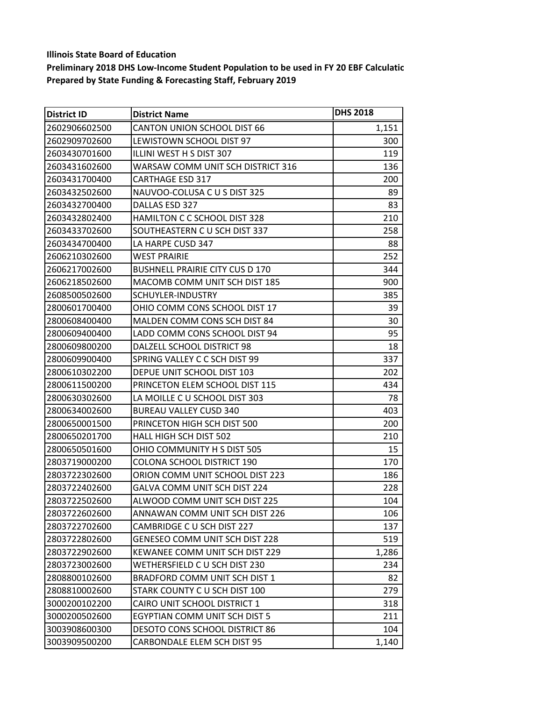| District ID    | <b>District Name</b>                   | <b>DHS 2018</b> |
|----------------|----------------------------------------|-----------------|
| 2602906602500  | CANTON UNION SCHOOL DIST 66            | 1,151           |
| 2602909702600  | LEWISTOWN SCHOOL DIST 97               | 300             |
| 2603430701600  | ILLINI WEST H S DIST 307               | 119             |
| 2603431602600  | WARSAW COMM UNIT SCH DISTRICT 316      | 136             |
| 2603431700400  | <b>CARTHAGE ESD 317</b>                | 200             |
| 2603432502600  | NAUVOO-COLUSA C U S DIST 325           | 89              |
| 2603432700400  | DALLAS ESD 327                         | 83              |
| 2603432802400  | HAMILTON C C SCHOOL DIST 328           | 210             |
| 12603433702600 | SOUTHEASTERN C U SCH DIST 337          | 258             |
| 2603434700400  | LA HARPE CUSD 347                      | 88              |
| 2606210302600  | <b>WEST PRAIRIE</b>                    | 252             |
| 2606217002600  | <b>BUSHNELL PRAIRIE CITY CUS D 170</b> | 344             |
| 2606218502600  | MACOMB COMM UNIT SCH DIST 185          | 900             |
| 2608500502600  | SCHUYLER-INDUSTRY                      | 385             |
| 2800601700400  | OHIO COMM CONS SCHOOL DIST 17          | 39              |
| 2800608400400  | MALDEN COMM CONS SCH DIST 84           | 30              |
| 2800609400400  | LADD COMM CONS SCHOOL DIST 94          | 95              |
| 2800609800200  | DALZELL SCHOOL DISTRICT 98             | 18              |
| 2800609900400  | SPRING VALLEY C C SCH DIST 99          | 337             |
| 2800610302200  | DEPUE UNIT SCHOOL DIST 103             | 202             |
| 2800611500200  | PRINCETON ELEM SCHOOL DIST 115         | 434             |
| 2800630302600  | LA MOILLE C U SCHOOL DIST 303          | 78              |
| 2800634002600  | <b>BUREAU VALLEY CUSD 340</b>          | 403             |
| 2800650001500  | PRINCETON HIGH SCH DIST 500            | 200             |
| 2800650201700  | <b>HALL HIGH SCH DIST 502</b>          | 210             |
| 2800650501600  | OHIO COMMUNITY H S DIST 505            | 15              |
| 2803719000200  | <b>COLONA SCHOOL DISTRICT 190</b>      | 170             |
| 2803722302600  | ORION COMM UNIT SCHOOL DIST 223        | 186             |
| 2803722402600  | GALVA COMM UNIT SCH DIST 224           | 228             |
| 2803722502600  | ALWOOD COMM UNIT SCH DIST 225          | 104             |
| 2803722602600  | ANNAWAN COMM UNIT SCH DIST 226         | 106             |
| 2803722702600  | CAMBRIDGE C U SCH DIST 227             | 137             |
| 2803722802600  | <b>GENESEO COMM UNIT SCH DIST 228</b>  | 519             |
| 2803722902600  | KEWANEE COMM UNIT SCH DIST 229         | 1,286           |
| 2803723002600  | WETHERSFIELD C U SCH DIST 230          | 234             |
| 2808800102600  | BRADFORD COMM UNIT SCH DIST 1          | 82              |
| 2808810002600  | STARK COUNTY C U SCH DIST 100          | 279             |
| 3000200102200  | CAIRO UNIT SCHOOL DISTRICT 1           | 318             |
| 3000200502600  | EGYPTIAN COMM UNIT SCH DIST 5          | 211             |
| 3003908600300  | <b>DESOTO CONS SCHOOL DISTRICT 86</b>  | 104             |
| 3003909500200  | CARBONDALE ELEM SCH DIST 95            | 1,140           |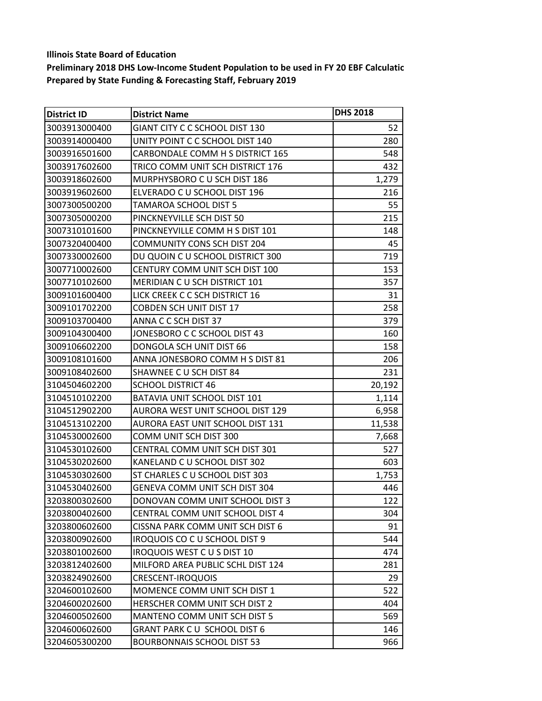| <b>District ID</b> | <b>District Name</b>                 | <b>DHS 2018</b> |
|--------------------|--------------------------------------|-----------------|
| 3003913000400      | GIANT CITY C C SCHOOL DIST 130       | 52              |
| 3003914000400      | UNITY POINT C C SCHOOL DIST 140      | 280             |
| 3003916501600      | CARBONDALE COMM H S DISTRICT 165     | 548             |
| 3003917602600      | TRICO COMM UNIT SCH DISTRICT 176     | 432             |
| 3003918602600      | MURPHYSBORO C U SCH DIST 186         | 1,279           |
| 3003919602600      | ELVERADO C U SCHOOL DIST 196         | 216             |
| 3007300500200      | TAMAROA SCHOOL DIST 5                | 55              |
| 3007305000200      | PINCKNEYVILLE SCH DIST 50            | 215             |
| 3007310101600      | PINCKNEYVILLE COMM H S DIST 101      | 148             |
| 3007320400400      | <b>COMMUNITY CONS SCH DIST 204</b>   | 45              |
| 3007330002600      | DU QUOIN C U SCHOOL DISTRICT 300     | 719             |
| 3007710002600      | CENTURY COMM UNIT SCH DIST 100       | 153             |
| 3007710102600      | MERIDIAN CU SCH DISTRICT 101         | 357             |
| 3009101600400      | LICK CREEK C C SCH DISTRICT 16       | 31              |
| 3009101702200      | <b>COBDEN SCH UNIT DIST 17</b>       | 258             |
| 3009103700400      | ANNA C C SCH DIST 37                 | 379             |
| 3009104300400      | JONESBORO C C SCHOOL DIST 43         | 160             |
| 3009106602200      | DONGOLA SCH UNIT DIST 66             | 158             |
| 3009108101600      | ANNA JONESBORO COMM H S DIST 81      | 206             |
| 3009108402600      | SHAWNEE C U SCH DIST 84              | 231             |
| 3104504602200      | <b>SCHOOL DISTRICT 46</b>            | 20,192          |
| 3104510102200      | BATAVIA UNIT SCHOOL DIST 101         | 1,114           |
| 3104512902200      | AURORA WEST UNIT SCHOOL DIST 129     | 6,958           |
| 3104513102200      | AURORA EAST UNIT SCHOOL DIST 131     | 11,538          |
| 3104530002600      | COMM UNIT SCH DIST 300               | 7,668           |
| 3104530102600      | CENTRAL COMM UNIT SCH DIST 301       | 527             |
| 3104530202600      | KANELAND C U SCHOOL DIST 302         | 603             |
| 3104530302600      | ST CHARLES C U SCHOOL DIST 303       | 1,753           |
| 3104530402600      | GENEVA COMM UNIT SCH DIST 304        | 446             |
| 3203800302600      | DONOVAN COMM UNIT SCHOOL DIST 3      | 122             |
| 3203800402600      | CENTRAL COMM UNIT SCHOOL DIST 4      | 304             |
| 3203800602600      | CISSNA PARK COMM UNIT SCH DIST 6     | 91              |
| 3203800902600      | IROQUOIS CO C U SCHOOL DIST 9        | 544             |
| 3203801002600      | <b>IROQUOIS WEST CUS DIST 10</b>     | 474             |
| 3203812402600      | MILFORD AREA PUBLIC SCHL DIST 124    | 281             |
| 3203824902600      | <b>CRESCENT-IROQUOIS</b>             | 29              |
| 3204600102600      | MOMENCE COMM UNIT SCH DIST 1         | 522             |
| 3204600202600      | <b>HERSCHER COMM UNIT SCH DIST 2</b> | 404             |
| 3204600502600      | MANTENO COMM UNIT SCH DIST 5         | 569             |
| 3204600602600      | <b>GRANT PARK C U SCHOOL DIST 6</b>  | 146             |
| 3204605300200      | <b>BOURBONNAIS SCHOOL DIST 53</b>    | 966             |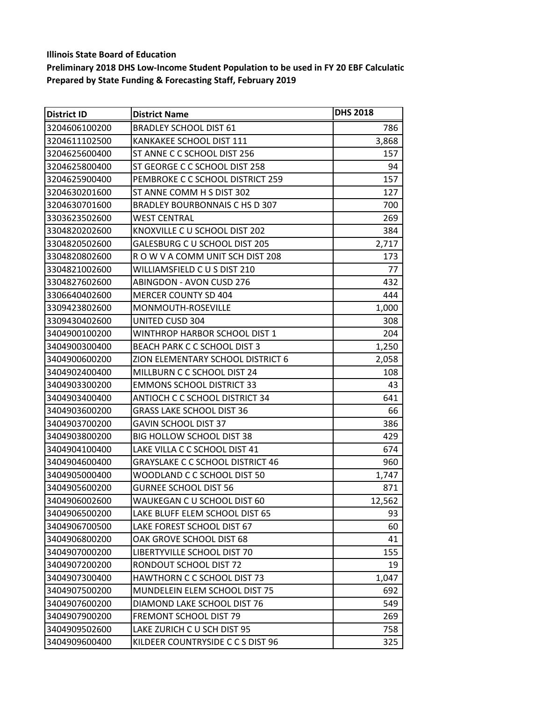| District ID   | <b>District Name</b>                    | <b>DHS 2018</b> |
|---------------|-----------------------------------------|-----------------|
| 3204606100200 | <b>BRADLEY SCHOOL DIST 61</b>           | 786             |
| 3204611102500 | KANKAKEE SCHOOL DIST 111                | 3,868           |
| 3204625600400 | ST ANNE C C SCHOOL DIST 256             | 157             |
| 3204625800400 | ST GEORGE C C SCHOOL DIST 258           | 94              |
| 3204625900400 | PEMBROKE C C SCHOOL DISTRICT 259        | 157             |
| 3204630201600 | ST ANNE COMM H S DIST 302               | 127             |
| 3204630701600 | <b>BRADLEY BOURBONNAIS C HS D 307</b>   | 700             |
| 3303623502600 | <b>WEST CENTRAL</b>                     | 269             |
| 3304820202600 | KNOXVILLE C U SCHOOL DIST 202           | 384             |
| 3304820502600 | GALESBURG C U SCHOOL DIST 205           | 2,717           |
| 3304820802600 | ROW V A COMM UNIT SCH DIST 208          | 173             |
| 3304821002600 | WILLIAMSFIELD CUS DIST 210              | 77              |
| 3304827602600 | <b>ABINGDON - AVON CUSD 276</b>         | 432             |
| 3306640402600 | MERCER COUNTY SD 404                    | 444             |
| 3309423802600 | MONMOUTH-ROSEVILLE                      | 1,000           |
| 3309430402600 | <b>UNITED CUSD 304</b>                  | 308             |
| 3404900100200 | WINTHROP HARBOR SCHOOL DIST 1           | 204             |
| 3404900300400 | <b>BEACH PARK C C SCHOOL DIST 3</b>     | 1,250           |
| 3404900600200 | ZION ELEMENTARY SCHOOL DISTRICT 6       | 2,058           |
| 3404902400400 | MILLBURN C C SCHOOL DIST 24             | 108             |
| 3404903300200 | <b>EMMONS SCHOOL DISTRICT 33</b>        | 43              |
| 3404903400400 | <b>ANTIOCH C C SCHOOL DISTRICT 34</b>   | 641             |
| 3404903600200 | <b>GRASS LAKE SCHOOL DIST 36</b>        | 66              |
| 3404903700200 | <b>GAVIN SCHOOL DIST 37</b>             | 386             |
| 3404903800200 | <b>BIG HOLLOW SCHOOL DIST 38</b>        | 429             |
| 3404904100400 | LAKE VILLA C C SCHOOL DIST 41           | 674             |
| 3404904600400 | <b>GRAYSLAKE C C SCHOOL DISTRICT 46</b> | 960             |
| 3404905000400 | WOODLAND C C SCHOOL DIST 50             | 1,747           |
| 3404905600200 | <b>GURNEE SCHOOL DIST 56</b>            | 871             |
| 3404906002600 | WAUKEGAN C U SCHOOL DIST 60             | 12,562          |
| 3404906500200 | LAKE BLUFF ELEM SCHOOL DIST 65          | 93              |
| 3404906700500 | LAKE FOREST SCHOOL DIST 67              | 60              |
| 3404906800200 | OAK GROVE SCHOOL DIST 68                | 41              |
| 3404907000200 | LIBERTYVILLE SCHOOL DIST 70             | 155             |
| 3404907200200 | RONDOUT SCHOOL DIST 72                  | 19              |
| 3404907300400 | <b>HAWTHORN C C SCHOOL DIST 73</b>      | 1,047           |
| 3404907500200 | MUNDELEIN ELEM SCHOOL DIST 75           | 692             |
| 3404907600200 | DIAMOND LAKE SCHOOL DIST 76             | 549             |
| 3404907900200 | <b>FREMONT SCHOOL DIST 79</b>           | 269             |
| 3404909502600 | LAKE ZURICH C U SCH DIST 95             | 758             |
| 3404909600400 | KILDEER COUNTRYSIDE C C S DIST 96       | 325             |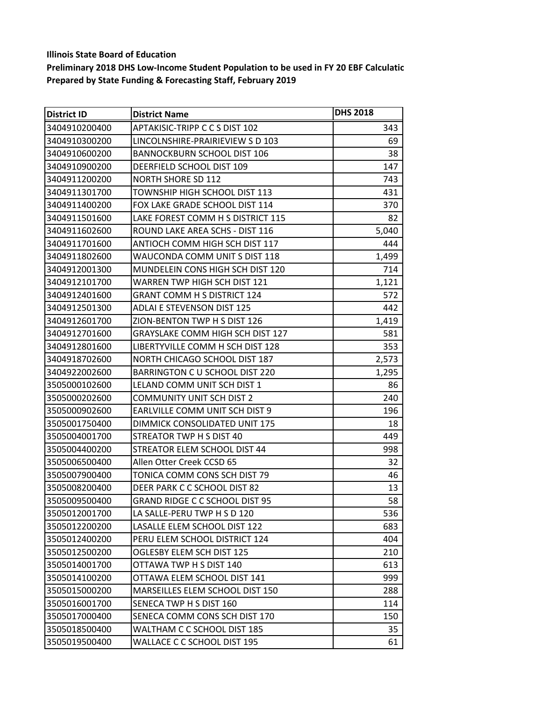| <b>District ID</b> | <b>District Name</b>                    | <b>DHS 2018</b> |
|--------------------|-----------------------------------------|-----------------|
| 3404910200400      | APTAKISIC-TRIPP C C S DIST 102          | 343             |
| 3404910300200      | LINCOLNSHIRE-PRAIRIEVIEW S D 103        | 69              |
| 3404910600200      | <b>BANNOCKBURN SCHOOL DIST 106</b>      | 38              |
| 3404910900200      | DEERFIELD SCHOOL DIST 109               | 147             |
| 3404911200200      | <b>NORTH SHORE SD 112</b>               | 743             |
| 3404911301700      | TOWNSHIP HIGH SCHOOL DIST 113           | 431             |
| 3404911400200      | FOX LAKE GRADE SCHOOL DIST 114          | 370             |
| 3404911501600      | LAKE FOREST COMM H S DISTRICT 115       | 82              |
| 3404911602600      | ROUND LAKE AREA SCHS - DIST 116         | 5,040           |
| 3404911701600      | ANTIOCH COMM HIGH SCH DIST 117          | 444             |
| 3404911802600      | WAUCONDA COMM UNIT S DIST 118           | 1,499           |
| 3404912001300      | MUNDELEIN CONS HIGH SCH DIST 120        | 714             |
| 3404912101700      | WARREN TWP HIGH SCH DIST 121            | 1,121           |
| 3404912401600      | <b>GRANT COMM H S DISTRICT 124</b>      | 572             |
| 3404912501300      | <b>ADLAI E STEVENSON DIST 125</b>       | 442             |
| 3404912601700      | ZION-BENTON TWP H S DIST 126            | 1,419           |
| 3404912701600      | <b>GRAYSLAKE COMM HIGH SCH DIST 127</b> | 581             |
| 3404912801600      | LIBERTYVILLE COMM H SCH DIST 128        | 353             |
| 3404918702600      | NORTH CHICAGO SCHOOL DIST 187           | 2,573           |
| 3404922002600      | BARRINGTON C U SCHOOL DIST 220          | 1,295           |
| 3505000102600      | LELAND COMM UNIT SCH DIST 1             | 86              |
| 3505000202600      | <b>COMMUNITY UNIT SCH DIST 2</b>        | 240             |
| 3505000902600      | EARLVILLE COMM UNIT SCH DIST 9          | 196             |
| 3505001750400      | DIMMICK CONSOLIDATED UNIT 175           | 18              |
| 3505004001700      | STREATOR TWP H S DIST 40                | 449             |
| 3505004400200      | STREATOR ELEM SCHOOL DIST 44            | 998             |
| 3505006500400      | Allen Otter Creek CCSD 65               | 32              |
| 3505007900400      | TONICA COMM CONS SCH DIST 79            | 46              |
| 3505008200400      | DEER PARK C C SCHOOL DIST 82            | 13              |
| 3505009500400      | <b>GRAND RIDGE C C SCHOOL DIST 95</b>   | 58              |
| 3505012001700      | LA SALLE-PERU TWP H S D 120             | 536             |
| 3505012200200      | LASALLE ELEM SCHOOL DIST 122            | 683             |
| 3505012400200      | PERU ELEM SCHOOL DISTRICT 124           | 404             |
| 3505012500200      | OGLESBY ELEM SCH DIST 125               | 210             |
| 3505014001700      | OTTAWA TWP H S DIST 140                 | 613             |
| 3505014100200      | OTTAWA ELEM SCHOOL DIST 141             | 999             |
| 3505015000200      | <b>MARSEILLES ELEM SCHOOL DIST 150</b>  | 288             |
| 3505016001700      | SENECA TWP H S DIST 160                 | 114             |
| 3505017000400      | SENECA COMM CONS SCH DIST 170           | 150             |
| 3505018500400      | WALTHAM C C SCHOOL DIST 185             | 35              |
| 3505019500400      | WALLACE C C SCHOOL DIST 195             | 61              |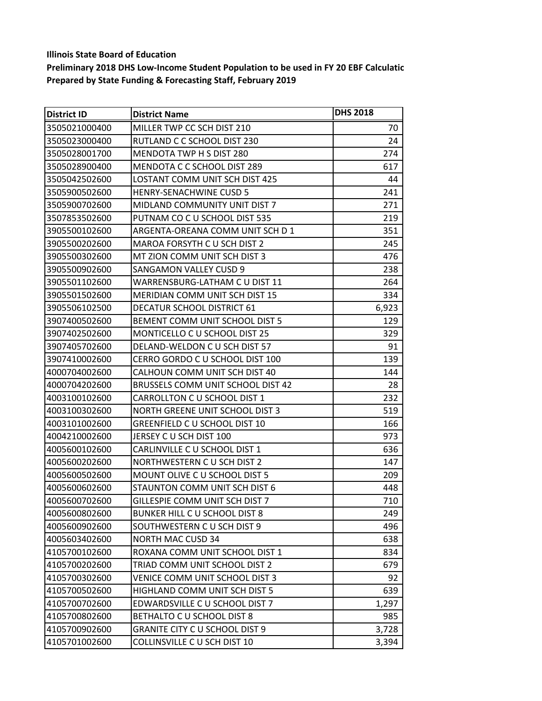| <b>District ID</b> | <b>District Name</b>                  | <b>DHS 2018</b> |
|--------------------|---------------------------------------|-----------------|
| 3505021000400      | MILLER TWP CC SCH DIST 210            | 70              |
| 3505023000400      | RUTLAND C C SCHOOL DIST 230           | 24              |
| 3505028001700      | MENDOTA TWP H S DIST 280              | 274             |
| 3505028900400      | MENDOTA C C SCHOOL DIST 289           | 617             |
| 3505042502600      | LOSTANT COMM UNIT SCH DIST 425        | 44              |
| 3505900502600      | <b>HENRY-SENACHWINE CUSD 5</b>        | 241             |
| 3505900702600      | MIDLAND COMMUNITY UNIT DIST 7         | 271             |
| 3507853502600      | PUTNAM CO C U SCHOOL DIST 535         | 219             |
| 3905500102600      | ARGENTA-OREANA COMM UNIT SCH D 1      | 351             |
| 3905500202600      | MAROA FORSYTH C U SCH DIST 2          | 245             |
| 3905500302600      | MT ZION COMM UNIT SCH DIST 3          | 476             |
| 3905500902600      | <b>SANGAMON VALLEY CUSD 9</b>         | 238             |
| 3905501102600      | WARRENSBURG-LATHAM C U DIST 11        | 264             |
| 3905501502600      | <b>MERIDIAN COMM UNIT SCH DIST 15</b> | 334             |
| 3905506102500      | DECATUR SCHOOL DISTRICT 61            | 6,923           |
| 3907400502600      | BEMENT COMM UNIT SCHOOL DIST 5        | 129             |
| 3907402502600      | MONTICELLO C U SCHOOL DIST 25         | 329             |
| 3907405702600      | DELAND-WELDON C U SCH DIST 57         | 91              |
| 3907410002600      | CERRO GORDO C U SCHOOL DIST 100       | 139             |
| 4000704002600      | CALHOUN COMM UNIT SCH DIST 40         | 144             |
| 4000704202600      | BRUSSELS COMM UNIT SCHOOL DIST 42     | 28              |
| 4003100102600      | CARROLLTON C U SCHOOL DIST 1          | 232             |
| 4003100302600      | NORTH GREENE UNIT SCHOOL DIST 3       | 519             |
| 4003101002600      | GREENFIELD C U SCHOOL DIST 10         | 166             |
| 4004210002600      | JERSEY C U SCH DIST 100               | 973             |
| 4005600102600      | CARLINVILLE C U SCHOOL DIST 1         | 636             |
| 4005600202600      | NORTHWESTERN CU SCH DIST 2            | 147             |
| 4005600502600      | MOUNT OLIVE C U SCHOOL DIST 5         | 209             |
| 4005600602600      | STAUNTON COMM UNIT SCH DIST 6         | 448             |
| 4005600702600      | GILLESPIE COMM UNIT SCH DIST 7        | 710             |
| 4005600802600      | BUNKER HILL C U SCHOOL DIST 8         | 249             |
| 4005600902600      | SOUTHWESTERN C U SCH DIST 9           | 496             |
| 4005603402600      | <b>NORTH MAC CUSD 34</b>              | 638             |
| 4105700102600      | ROXANA COMM UNIT SCHOOL DIST 1        | 834             |
| 4105700202600      | TRIAD COMM UNIT SCHOOL DIST 2         | 679             |
| 4105700302600      | VENICE COMM UNIT SCHOOL DIST 3        | 92              |
| 4105700502600      | HIGHLAND COMM UNIT SCH DIST 5         | 639             |
| 4105700702600      | EDWARDSVILLE C U SCHOOL DIST 7        | 1,297           |
| 4105700802600      | BETHALTO C U SCHOOL DIST 8            | 985             |
| 4105700902600      | <b>GRANITE CITY C U SCHOOL DIST 9</b> | 3,728           |
| 4105701002600      | COLLINSVILLE C U SCH DIST 10          | 3,394           |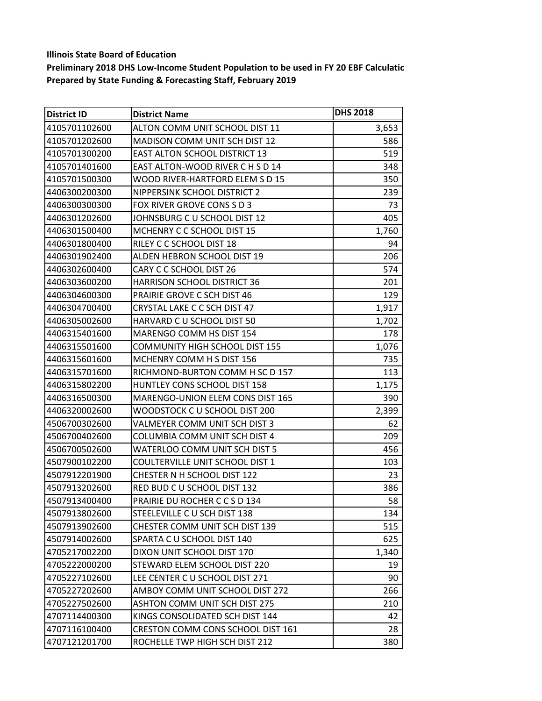| <b>District ID</b> | <b>District Name</b>                  | <b>DHS 2018</b> |
|--------------------|---------------------------------------|-----------------|
| 4105701102600      | ALTON COMM UNIT SCHOOL DIST 11        | 3,653           |
| 4105701202600      | <b>MADISON COMM UNIT SCH DIST 12</b>  | 586             |
| 4105701300200      | <b>EAST ALTON SCHOOL DISTRICT 13</b>  | 519             |
| 4105701401600      | EAST ALTON-WOOD RIVER C H S D 14      | 348             |
| 4105701500300      | WOOD RIVER-HARTFORD ELEM S D 15       | 350             |
| 4406300200300      | NIPPERSINK SCHOOL DISTRICT 2          | 239             |
| 4406300300300      | FOX RIVER GROVE CONS S D 3            | 73              |
| 4406301202600      | JOHNSBURG C U SCHOOL DIST 12          | 405             |
| 4406301500400      | MCHENRY C C SCHOOL DIST 15            | 1,760           |
| 4406301800400      | RILEY C C SCHOOL DIST 18              | 94              |
| 4406301902400      | ALDEN HEBRON SCHOOL DIST 19           | 206             |
| 4406302600400      | CARY C C SCHOOL DIST 26               | 574             |
| 4406303600200      | <b>HARRISON SCHOOL DISTRICT 36</b>    | 201             |
| 4406304600300      | PRAIRIE GROVE C SCH DIST 46           | 129             |
| 4406304700400      | CRYSTAL LAKE C C SCH DIST 47          | 1,917           |
| 4406305002600      | HARVARD C U SCHOOL DIST 50            | 1,702           |
| 4406315401600      | MARENGO COMM HS DIST 154              | 178             |
| 4406315501600      | <b>COMMUNITY HIGH SCHOOL DIST 155</b> | 1,076           |
| 4406315601600      | MCHENRY COMM H S DIST 156             | 735             |
| 4406315701600      | RICHMOND-BURTON COMM H SC D 157       | 113             |
| 4406315802200      | HUNTLEY CONS SCHOOL DIST 158          | 1,175           |
| 4406316500300      | MARENGO-UNION ELEM CONS DIST 165      | 390             |
| 4406320002600      | WOODSTOCK C U SCHOOL DIST 200         | 2,399           |
| 4506700302600      | VALMEYER COMM UNIT SCH DIST 3         | 62              |
| 4506700402600      | COLUMBIA COMM UNIT SCH DIST 4         | 209             |
| 4506700502600      | WATERLOO COMM UNIT SCH DIST 5         | 456             |
| 4507900102200      | COULTERVILLE UNIT SCHOOL DIST 1       | 103             |
| 4507912201900      | <b>CHESTER N H SCHOOL DIST 122</b>    | 23              |
| 4507913202600      | RED BUD C U SCHOOL DIST 132           | 386             |
| 4507913400400      | PRAIRIE DU ROCHER C C S D 134         | 58              |
| 4507913802600      | STEELEVILLE C U SCH DIST 138          | 134             |
| 4507913902600      | CHESTER COMM UNIT SCH DIST 139        | 515             |
| 4507914002600      | SPARTA C U SCHOOL DIST 140            | 625             |
| 4705217002200      | DIXON UNIT SCHOOL DIST 170            | 1,340           |
| 4705222000200      | STEWARD ELEM SCHOOL DIST 220          | 19              |
| 4705227102600      | LEE CENTER C U SCHOOL DIST 271        | 90              |
| 4705227202600      | AMBOY COMM UNIT SCHOOL DIST 272       | 266             |
| 4705227502600      | <b>ASHTON COMM UNIT SCH DIST 275</b>  | 210             |
| 4707114400300      | KINGS CONSOLIDATED SCH DIST 144       | 42              |
| 4707116100400      | CRESTON COMM CONS SCHOOL DIST 161     | 28              |
| 4707121201700      | ROCHELLE TWP HIGH SCH DIST 212        | 380             |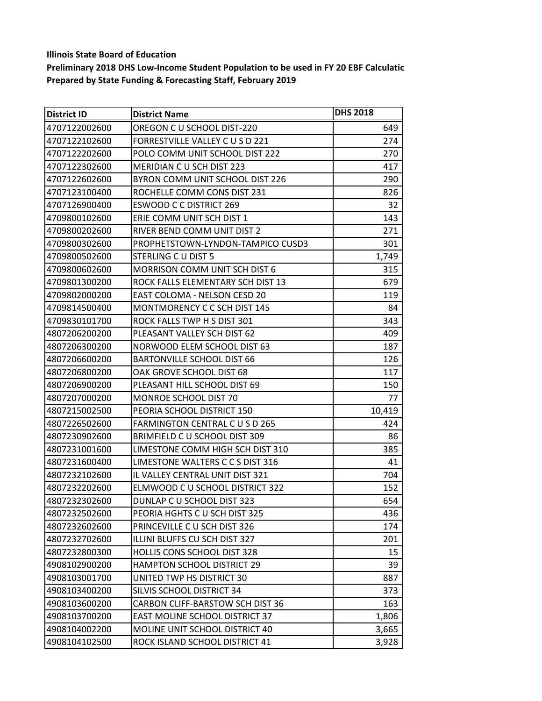| <b>District ID</b> | <b>District Name</b>                 | <b>DHS 2018</b> |
|--------------------|--------------------------------------|-----------------|
| 4707122002600      | OREGON C U SCHOOL DIST-220           | 649             |
| 4707122102600      | FORRESTVILLE VALLEY C U S D 221      | 274             |
| 4707122202600      | POLO COMM UNIT SCHOOL DIST 222       | 270             |
| 4707122302600      | <b>MERIDIAN C U SCH DIST 223</b>     | 417             |
| 4707122602600      | BYRON COMM UNIT SCHOOL DIST 226      | 290             |
| 4707123100400      | ROCHELLE COMM CONS DIST 231          | 826             |
| 4707126900400      | <b>ESWOOD C C DISTRICT 269</b>       | 32              |
| 4709800102600      | ERIE COMM UNIT SCH DIST 1            | 143             |
| 4709800202600      | RIVER BEND COMM UNIT DIST 2          | 271             |
| 4709800302600      | PROPHETSTOWN-LYNDON-TAMPICO CUSD3    | 301             |
| 4709800502600      | STERLING C U DIST 5                  | 1,749           |
| 4709800602600      | <b>MORRISON COMM UNIT SCH DIST 6</b> | 315             |
| 4709801300200      | ROCK FALLS ELEMENTARY SCH DIST 13    | 679             |
| 4709802000200      | EAST COLOMA - NELSON CESD 20         | 119             |
| 4709814500400      | MONTMORENCY C C SCH DIST 145         | 84              |
| 4709830101700      | ROCK FALLS TWP H S DIST 301          | 343             |
| 4807206200200      | PLEASANT VALLEY SCH DIST 62          | 409             |
| 4807206300200      | NORWOOD ELEM SCHOOL DIST 63          | 187             |
| 4807206600200      | <b>BARTONVILLE SCHOOL DIST 66</b>    | 126             |
| 4807206800200      | OAK GROVE SCHOOL DIST 68             | 117             |
| 4807206900200      | PLEASANT HILL SCHOOL DIST 69         | 150             |
| 4807207000200      | MONROE SCHOOL DIST 70                | 77              |
| 4807215002500      | PEORIA SCHOOL DISTRICT 150           | 10,419          |
| 4807226502600      | FARMINGTON CENTRAL CUSD 265          | 424             |
| 4807230902600      | BRIMFIELD C U SCHOOL DIST 309        | 86              |
| 4807231001600      | LIMESTONE COMM HIGH SCH DIST 310     | 385             |
| 4807231600400      | LIMESTONE WALTERS CCS DIST 316       | 41              |
| 4807232102600      | IL VALLEY CENTRAL UNIT DIST 321      | 704             |
| 4807232202600      | ELMWOOD C U SCHOOL DISTRICT 322      | 152             |
| 4807232302600      | DUNLAP C U SCHOOL DIST 323           | 654             |
| 4807232502600      | PEORIA HGHTS C U SCH DIST 325        | 436             |
| 4807232602600      | PRINCEVILLE C U SCH DIST 326         | 174             |
| 4807232702600      | ILLINI BLUFFS CU SCH DIST 327        | 201             |
| 4807232800300      | HOLLIS CONS SCHOOL DIST 328          | 15              |
| 4908102900200      | <b>HAMPTON SCHOOL DISTRICT 29</b>    | 39              |
| 4908103001700      | UNITED TWP HS DISTRICT 30            | 887             |
| 4908103400200      | SILVIS SCHOOL DISTRICT 34            | 373             |
| 4908103600200      | CARBON CLIFF-BARSTOW SCH DIST 36     | 163             |
| 4908103700200      | EAST MOLINE SCHOOL DISTRICT 37       | 1,806           |
| 4908104002200      | MOLINE UNIT SCHOOL DISTRICT 40       | 3,665           |
| 4908104102500      | ROCK ISLAND SCHOOL DISTRICT 41       | 3,928           |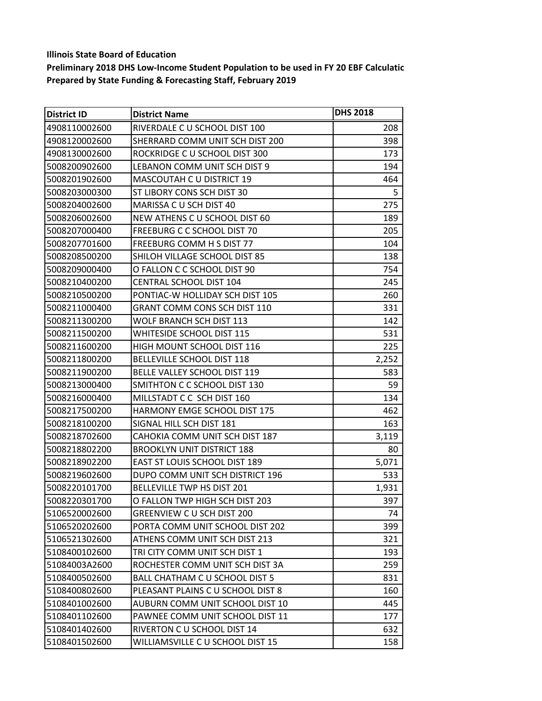| <b>District ID</b> | <b>District Name</b>                  | <b>DHS 2018</b> |
|--------------------|---------------------------------------|-----------------|
| 4908110002600      | RIVERDALE C U SCHOOL DIST 100         | 208             |
| 4908120002600      | SHERRARD COMM UNIT SCH DIST 200       | 398             |
| 4908130002600      | ROCKRIDGE C U SCHOOL DIST 300         | 173             |
| 5008200902600      | LEBANON COMM UNIT SCH DIST 9          | 194             |
| 5008201902600      | MASCOUTAH C U DISTRICT 19             | 464             |
| 5008203000300      | ST LIBORY CONS SCH DIST 30            | 5               |
| 5008204002600      | MARISSA C U SCH DIST 40               | 275             |
| 5008206002600      | NEW ATHENS C U SCHOOL DIST 60         | 189             |
| 5008207000400      | FREEBURG C C SCHOOL DIST 70           | 205             |
| 5008207701600      | FREEBURG COMM H S DIST 77             | 104             |
| 5008208500200      | SHILOH VILLAGE SCHOOL DIST 85         | 138             |
| 5008209000400      | O FALLON C C SCHOOL DIST 90           | 754             |
| 5008210400200      | <b>CENTRAL SCHOOL DIST 104</b>        | 245             |
| 5008210500200      | PONTIAC-W HOLLIDAY SCH DIST 105       | 260             |
| 5008211000400      | GRANT COMM CONS SCH DIST 110          | 331             |
| 5008211300200      | WOLF BRANCH SCH DIST 113              | 142             |
| 5008211500200      | WHITESIDE SCHOOL DIST 115             | 531             |
| 5008211600200      | HIGH MOUNT SCHOOL DIST 116            | 225             |
| 5008211800200      | BELLEVILLE SCHOOL DIST 118            | 2,252           |
| 5008211900200      | BELLE VALLEY SCHOOL DIST 119          | 583             |
| 5008213000400      | SMITHTON C C SCHOOL DIST 130          | 59              |
| 5008216000400      | MILLSTADT C C SCH DIST 160            | 134             |
| 5008217500200      | <b>HARMONY EMGE SCHOOL DIST 175</b>   | 462             |
| 5008218100200      | SIGNAL HILL SCH DIST 181              | 163             |
| 5008218702600      | CAHOKIA COMM UNIT SCH DIST 187        | 3,119           |
| 5008218802200      | <b>BROOKLYN UNIT DISTRICT 188</b>     | 80              |
| 5008218902200      | <b>EAST ST LOUIS SCHOOL DIST 189</b>  | 5,071           |
| 5008219602600      | DUPO COMM UNIT SCH DISTRICT 196       | 533             |
| 5008220101700      | BELLEVILLE TWP HS DIST 201            | 1,931           |
| 5008220301700      | O FALLON TWP HIGH SCH DIST 203        | 397             |
| 5106520002600      | <b>GREENVIEW CU SCH DIST 200</b>      | 74              |
| 5106520202600      | PORTA COMM UNIT SCHOOL DIST 202       | 399             |
| 5106521302600      | ATHENS COMM UNIT SCH DIST 213         | 321             |
| 5108400102600      | TRI CITY COMM UNIT SCH DIST 1         | 193             |
| 51084003A2600      | ROCHESTER COMM UNIT SCH DIST 3A       | 259             |
| 5108400502600      | <b>BALL CHATHAM C U SCHOOL DIST 5</b> | 831             |
| 5108400802600      | PLEASANT PLAINS C U SCHOOL DIST 8     | 160             |
| 5108401002600      | AUBURN COMM UNIT SCHOOL DIST 10       | 445             |
| 5108401102600      | PAWNEE COMM UNIT SCHOOL DIST 11       | 177             |
| 5108401402600      | RIVERTON C U SCHOOL DIST 14           | 632             |
| 5108401502600      | WILLIAMSVILLE C U SCHOOL DIST 15      | 158             |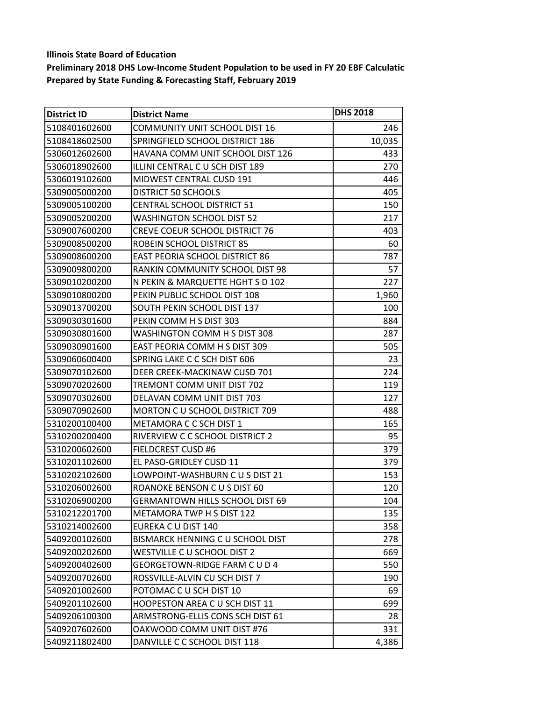| <b>District ID</b> | <b>District Name</b>                   | <b>DHS 2018</b> |
|--------------------|----------------------------------------|-----------------|
| 5108401602600      | <b>COMMUNITY UNIT SCHOOL DIST 16</b>   | 246             |
| 5108418602500      | SPRINGFIELD SCHOOL DISTRICT 186        | 10,035          |
| 5306012602600      | HAVANA COMM UNIT SCHOOL DIST 126       | 433             |
| 5306018902600      | ILLINI CENTRAL C U SCH DIST 189        | 270             |
| 5306019102600      | MIDWEST CENTRAL CUSD 191               | 446             |
| 5309005000200      | <b>DISTRICT 50 SCHOOLS</b>             | 405             |
| 5309005100200      | <b>CENTRAL SCHOOL DISTRICT 51</b>      | 150             |
| 5309005200200      | <b>WASHINGTON SCHOOL DIST 52</b>       | 217             |
| 5309007600200      | <b>CREVE COEUR SCHOOL DISTRICT 76</b>  | 403             |
| 5309008500200      | ROBEIN SCHOOL DISTRICT 85              | 60              |
| 5309008600200      | <b>EAST PEORIA SCHOOL DISTRICT 86</b>  | 787             |
| 5309009800200      | RANKIN COMMUNITY SCHOOL DIST 98        | 57              |
| 5309010200200      | N PEKIN & MARQUETTE HGHT S D 102       | 227             |
| 5309010800200      | PEKIN PUBLIC SCHOOL DIST 108           | 1,960           |
| 5309013700200      | SOUTH PEKIN SCHOOL DIST 137            | 100             |
| 5309030301600      | PEKIN COMM H S DIST 303                | 884             |
| 5309030801600      | WASHINGTON COMM H S DIST 308           | 287             |
| 5309030901600      | EAST PEORIA COMM H S DIST 309          | 505             |
| 5309060600400      | SPRING LAKE C C SCH DIST 606           | 23              |
| 5309070102600      | DEER CREEK-MACKINAW CUSD 701           | 224             |
| 5309070202600      | TREMONT COMM UNIT DIST 702             | 119             |
| 5309070302600      | DELAVAN COMM UNIT DIST 703             | 127             |
| 5309070902600      | <b>MORTON C U SCHOOL DISTRICT 709</b>  | 488             |
| 5310200100400      | METAMORA C C SCH DIST 1                | 165             |
| 5310200200400      | RIVERVIEW C C SCHOOL DISTRICT 2        | 95              |
| 5310200602600      | <b>FIELDCREST CUSD #6</b>              | 379             |
| 5310201102600      | EL PASO-GRIDLEY CUSD 11                | 379             |
| 5310202102600      | LOWPOINT-WASHBURN C U S DIST 21        | 153             |
| 5310206002600      | ROANOKE BENSON C U S DIST 60           | 120             |
| 5310206900200      | <b>GERMANTOWN HILLS SCHOOL DIST 69</b> | 104             |
| 5310212201700      | METAMORA TWP H S DIST 122              | 135             |
| 5310214002600      | EUREKA C U DIST 140                    | 358             |
| 5409200102600      | BISMARCK HENNING C U SCHOOL DIST       | 278             |
| 5409200202600      | WESTVILLE C U SCHOOL DIST 2            | 669             |
| 5409200402600      | GEORGETOWN-RIDGE FARM C U D 4          | 550             |
| 5409200702600      | ROSSVILLE-ALVIN CU SCH DIST 7          | 190             |
| 5409201002600      | POTOMAC C U SCH DIST 10                | 69              |
| 5409201102600      | <b>HOOPESTON AREA C U SCH DIST 11</b>  | 699             |
| 5409206100300      | ARMSTRONG-ELLIS CONS SCH DIST 61       | 28              |
| 5409207602600      | OAKWOOD COMM UNIT DIST #76             | 331             |
| 5409211802400      | DANVILLE C C SCHOOL DIST 118           | 4,386           |